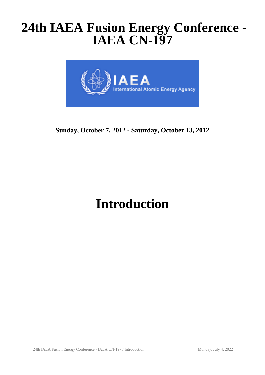## **24th IAEA Fusion Energy Conference - IAEA CN-197**



**Sunday, October 7, 2012 - Saturday, October 13, 2012**

# **Introduction**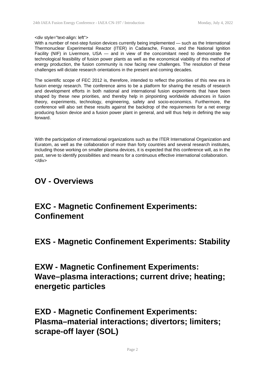#### <div style="text-align: left">

With a number of next-step fusion devices currently being implemented — such as the International Thermonuclear Experimental Reactor (ITER) in Cadarache, France, and the National Ignition Facility (NIF) in Livermore, USA  $-$  and in view of the concomitant need to demonstrate the technological feasibility of fusion power plants as well as the economical viability of this method of energy production, the fusion community is now facing new challenges. The resolution of these challenges will dictate research orientations in the present and coming decades.

The scientific scope of FEC 2012 is, therefore, intended to reflect the priorities of this new era in fusion energy research. The conference aims to be a platform for sharing the results of research and development efforts in both national and international fusion experiments that have been shaped by these new priorities, and thereby help in pinpointing worldwide advances in fusion theory, experiments, technology, engineering, safety and socio-economics. Furthermore, the conference will also set these results against the backdrop of the requirements for a net energy producing fusion device and a fusion power plant in general, and will thus help in defining the way forward.

With the participation of international organizations such as the ITER International Organization and Euratom, as well as the collaboration of more than forty countries and several research institutes, including those working on smaller plasma devices, it is expected that this conference will, as in the past, serve to identify possibilities and means for a continuous effective international collaboration.  $<$ /div $>$ 

#### **OV - Overviews**

### **EXC - Magnetic Confinement Experiments: Confinement**

**EXS - Magnetic Confinement Experiments: Stability**

**EXW - Magnetic Confinement Experiments: Wave–plasma interactions; current drive; heating; energetic particles**

**EXD - Magnetic Confinement Experiments: Plasma–material interactions; divertors; limiters; scrape-off layer (SOL)**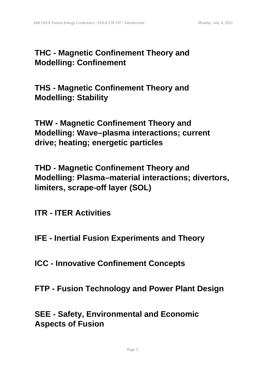### **THC - Magnetic Confinement Theory and Modelling: Confinement**

**THS - Magnetic Confinement Theory and Modelling: Stability**

**THW - Magnetic Confinement Theory and Modelling: Wave–plasma interactions; current drive; heating; energetic particles**

**THD - Magnetic Confinement Theory and Modelling: Plasma–material interactions; divertors, limiters, scrape-off layer (SOL)**

**ITR - ITER Activities**

- **IFE Inertial Fusion Experiments and Theory**
- **ICC Innovative Confinement Concepts**
- **FTP Fusion Technology and Power Plant Design**

**SEE - Safety, Environmental and Economic Aspects of Fusion**